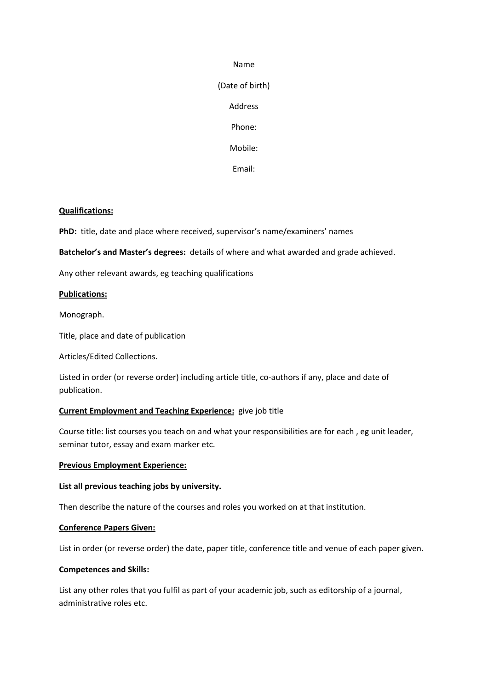### Name

(Date of birth) Address

Phone:

Mobile:

Email:

# **Qualifications:**

**PhD:** title, date and place where received, supervisor's name/examiners' names

**Batchelor's and Master's degrees:** details of where and what awarded and grade achieved.

Any other relevant awards, eg teaching qualifications

#### **Publications:**

Monograph.

Title, place and date of publication

Articles/Edited Collections.

Listed in order (or reverse order) including article title, co-authors if any, place and date of publication.

#### **Current Employment and Teaching Experience:** give job title

Course title: list courses you teach on and what your responsibilities are for each , eg unit leader, seminar tutor, essay and exam marker etc.

#### **Previous Employment Experience:**

# **List all previous teaching jobs by university.**

Then describe the nature of the courses and roles you worked on at that institution.

#### **Conference Papers Given:**

List in order (or reverse order) the date, paper title, conference title and venue of each paper given.

#### **Competences and Skills:**

List any other roles that you fulfil as part of your academic job, such as editorship of a journal, administrative roles etc.